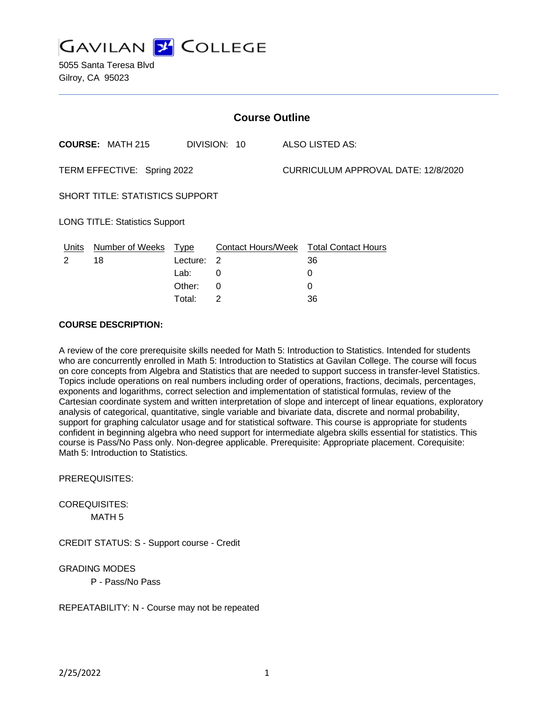

5055 Santa Teresa Blvd Gilroy, CA 95023

| <b>Course Outline</b>                 |                         |          |                |                                     |                                        |
|---------------------------------------|-------------------------|----------|----------------|-------------------------------------|----------------------------------------|
|                                       | <b>COURSE: MATH 215</b> |          | DIVISION: 10   |                                     | ALSO LISTED AS:                        |
| TERM EFFECTIVE: Spring 2022           |                         |          |                | CURRICULUM APPROVAL DATE: 12/8/2020 |                                        |
| SHORT TITLE: STATISTICS SUPPORT       |                         |          |                |                                     |                                        |
| <b>LONG TITLE: Statistics Support</b> |                         |          |                |                                     |                                        |
| <u>Units</u>                          | Number of Weeks Type    |          |                |                                     | Contact Hours/Week Total Contact Hours |
| 2                                     | 18                      | Lecture: | $\overline{2}$ |                                     | 36                                     |
|                                       |                         | Lab:     | 0              |                                     | 0                                      |
|                                       |                         | Other:   | 0              |                                     | $\Omega$                               |
|                                       |                         | Total:   | 2              |                                     | 36                                     |

#### **COURSE DESCRIPTION:**

A review of the core prerequisite skills needed for Math 5: Introduction to Statistics. Intended for students who are concurrently enrolled in Math 5: Introduction to Statistics at Gavilan College. The course will focus on core concepts from Algebra and Statistics that are needed to support success in transfer-level Statistics. Topics include operations on real numbers including order of operations, fractions, decimals, percentages, exponents and logarithms, correct selection and implementation of statistical formulas, review of the Cartesian coordinate system and written interpretation of slope and intercept of linear equations, exploratory analysis of categorical, quantitative, single variable and bivariate data, discrete and normal probability, support for graphing calculator usage and for statistical software. This course is appropriate for students confident in beginning algebra who need support for intermediate algebra skills essential for statistics. This course is Pass/No Pass only. Non-degree applicable. Prerequisite: Appropriate placement. Corequisite: Math 5: Introduction to Statistics.

PREREQUISITES:

COREQUISITES:

MATH 5

CREDIT STATUS: S - Support course - Credit

GRADING MODES

P - Pass/No Pass

REPEATABILITY: N - Course may not be repeated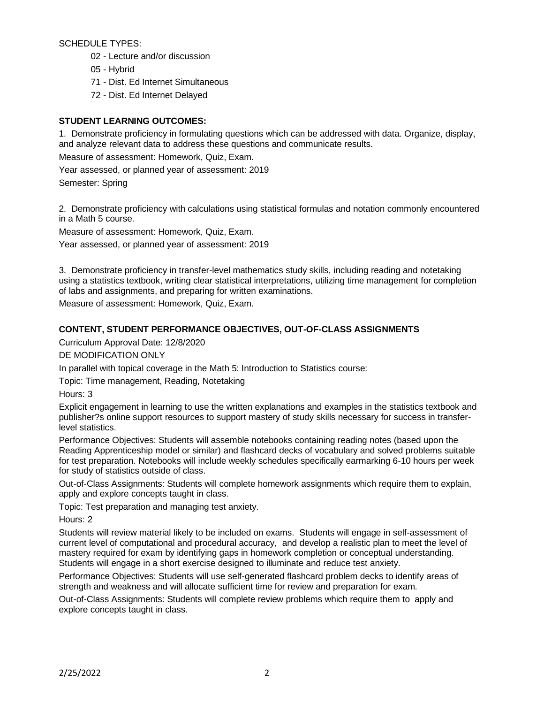SCHEDULE TYPES:

- 02 Lecture and/or discussion
- 05 Hybrid
- 71 Dist. Ed Internet Simultaneous
- 72 Dist. Ed Internet Delayed

# **STUDENT LEARNING OUTCOMES:**

1. Demonstrate proficiency in formulating questions which can be addressed with data. Organize, display, and analyze relevant data to address these questions and communicate results.

Measure of assessment: Homework, Quiz, Exam.

Year assessed, or planned year of assessment: 2019

Semester: Spring

2. Demonstrate proficiency with calculations using statistical formulas and notation commonly encountered in a Math 5 course.

Measure of assessment: Homework, Quiz, Exam.

Year assessed, or planned year of assessment: 2019

3. Demonstrate proficiency in transfer-level mathematics study skills, including reading and notetaking using a statistics textbook, writing clear statistical interpretations, utilizing time management for completion of labs and assignments, and preparing for written examinations.

Measure of assessment: Homework, Quiz, Exam.

### **CONTENT, STUDENT PERFORMANCE OBJECTIVES, OUT-OF-CLASS ASSIGNMENTS**

Curriculum Approval Date: 12/8/2020

DE MODIFICATION ONLY

In parallel with topical coverage in the Math 5: Introduction to Statistics course:

Topic: Time management, Reading, Notetaking

Hours: 3

Explicit engagement in learning to use the written explanations and examples in the statistics textbook and publisher?s online support resources to support mastery of study skills necessary for success in transferlevel statistics.

Performance Objectives: Students will assemble notebooks containing reading notes (based upon the Reading Apprenticeship model or similar) and flashcard decks of vocabulary and solved problems suitable for test preparation. Notebooks will include weekly schedules specifically earmarking 6-10 hours per week for study of statistics outside of class.

Out-of-Class Assignments: Students will complete homework assignments which require them to explain, apply and explore concepts taught in class.

Topic: Test preparation and managing test anxiety.

Hours: 2

Students will review material likely to be included on exams. Students will engage in self-assessment of current level of computational and procedural accuracy, and develop a realistic plan to meet the level of mastery required for exam by identifying gaps in homework completion or conceptual understanding. Students will engage in a short exercise designed to illuminate and reduce test anxiety.

Performance Objectives: Students will use self-generated flashcard problem decks to identify areas of strength and weakness and will allocate sufficient time for review and preparation for exam.

Out-of-Class Assignments: Students will complete review problems which require them to apply and explore concepts taught in class.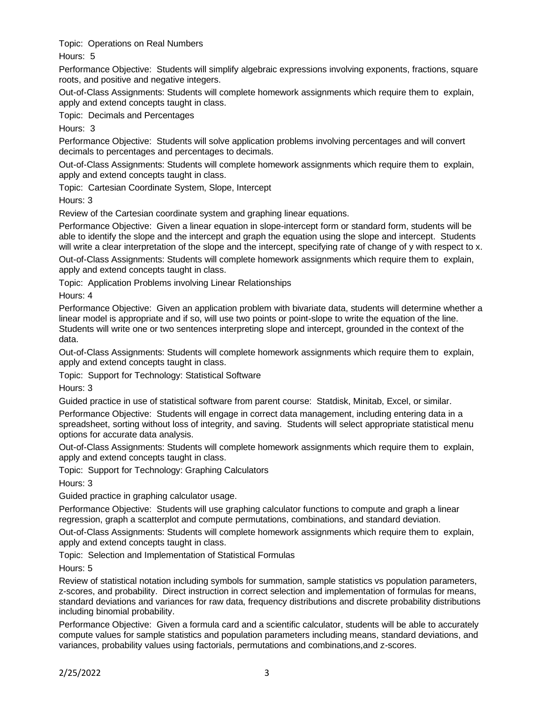Topic: Operations on Real Numbers

Hours: 5

Performance Objective: Students will simplify algebraic expressions involving exponents, fractions, square roots, and positive and negative integers.

Out-of-Class Assignments: Students will complete homework assignments which require them to explain, apply and extend concepts taught in class.

Topic: Decimals and Percentages

Hours: 3

Performance Objective: Students will solve application problems involving percentages and will convert decimals to percentages and percentages to decimals.

Out-of-Class Assignments: Students will complete homework assignments which require them to explain, apply and extend concepts taught in class.

Topic: Cartesian Coordinate System, Slope, Intercept

Hours: 3

Review of the Cartesian coordinate system and graphing linear equations.

Performance Objective: Given a linear equation in slope-intercept form or standard form, students will be able to identify the slope and the intercept and graph the equation using the slope and intercept. Students will write a clear interpretation of the slope and the intercept, specifying rate of change of y with respect to x. Out-of-Class Assignments: Students will complete homework assignments which require them to explain, apply and extend concepts taught in class.

Topic: Application Problems involving Linear Relationships

Hours: 4

Performance Objective: Given an application problem with bivariate data, students will determine whether a linear model is appropriate and if so, will use two points or point-slope to write the equation of the line. Students will write one or two sentences interpreting slope and intercept, grounded in the context of the data.

Out-of-Class Assignments: Students will complete homework assignments which require them to explain, apply and extend concepts taught in class.

Topic: Support for Technology: Statistical Software

Hours: 3

Guided practice in use of statistical software from parent course: Statdisk, Minitab, Excel, or similar.

Performance Objective: Students will engage in correct data management, including entering data in a spreadsheet, sorting without loss of integrity, and saving. Students will select appropriate statistical menu options for accurate data analysis.

Out-of-Class Assignments: Students will complete homework assignments which require them to explain, apply and extend concepts taught in class.

Topic: Support for Technology: Graphing Calculators

Hours: 3

Guided practice in graphing calculator usage.

Performance Objective: Students will use graphing calculator functions to compute and graph a linear regression, graph a scatterplot and compute permutations, combinations, and standard deviation.

Out-of-Class Assignments: Students will complete homework assignments which require them to explain, apply and extend concepts taught in class.

Topic: Selection and Implementation of Statistical Formulas

Hours: 5

Review of statistical notation including symbols for summation, sample statistics vs population parameters, z-scores, and probability. Direct instruction in correct selection and implementation of formulas for means, standard deviations and variances for raw data, frequency distributions and discrete probability distributions including binomial probability.

Performance Objective: Given a formula card and a scientific calculator, students will be able to accurately compute values for sample statistics and population parameters including means, standard deviations, and variances, probability values using factorials, permutations and combinations,and z-scores.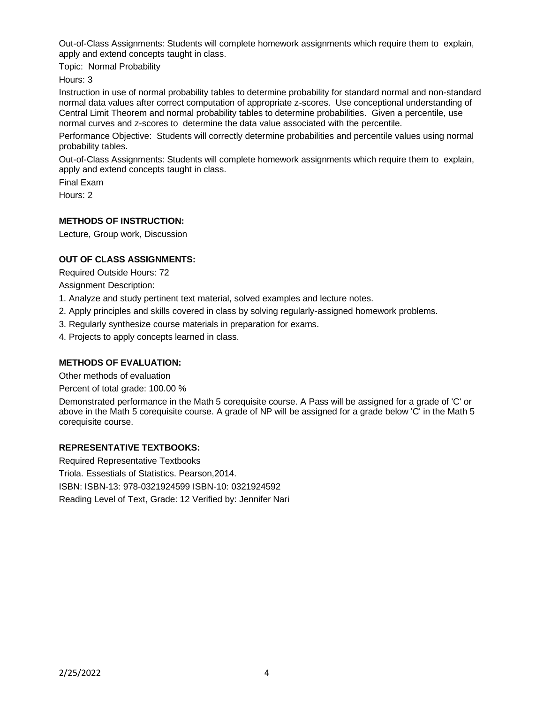Out-of-Class Assignments: Students will complete homework assignments which require them to explain, apply and extend concepts taught in class.

Topic: Normal Probability

Hours: 3

Instruction in use of normal probability tables to determine probability for standard normal and non-standard normal data values after correct computation of appropriate z-scores. Use conceptional understanding of Central Limit Theorem and normal probability tables to determine probabilities. Given a percentile, use normal curves and z-scores to determine the data value associated with the percentile.

Performance Objective: Students will correctly determine probabilities and percentile values using normal probability tables.

Out-of-Class Assignments: Students will complete homework assignments which require them to explain, apply and extend concepts taught in class.

Final Exam

Hours: 2

#### **METHODS OF INSTRUCTION:**

Lecture, Group work, Discussion

### **OUT OF CLASS ASSIGNMENTS:**

Required Outside Hours: 72

Assignment Description:

- 1. Analyze and study pertinent text material, solved examples and lecture notes.
- 2. Apply principles and skills covered in class by solving regularly-assigned homework problems.
- 3. Regularly synthesize course materials in preparation for exams.
- 4. Projects to apply concepts learned in class.

### **METHODS OF EVALUATION:**

Other methods of evaluation

Percent of total grade: 100.00 %

Demonstrated performance in the Math 5 corequisite course. A Pass will be assigned for a grade of 'C' or above in the Math 5 corequisite course. A grade of NP will be assigned for a grade below 'C' in the Math 5 corequisite course.

### **REPRESENTATIVE TEXTBOOKS:**

Required Representative Textbooks Triola. Essestials of Statistics. Pearson,2014. ISBN: ISBN-13: 978-0321924599 ISBN-10: 0321924592 Reading Level of Text, Grade: 12 Verified by: Jennifer Nari